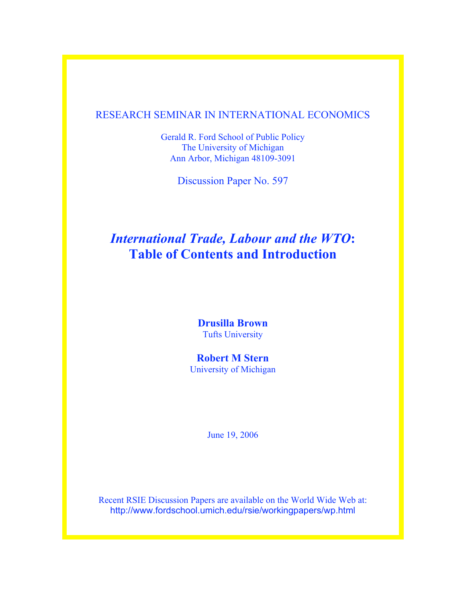# RESEARCH SEMINAR IN INTERNATIONAL ECONOMICS

Gerald R. Ford School of Public Policy The University of Michigan Ann Arbor, Michigan 48109-3091

Discussion Paper No. 597

# *International Trade, Labour and the WTO***: Table of Contents and Introduction**

**Drusilla Brown** Tufts University

**Robert M Stern** University of Michigan

June 19, 2006

Recent RSIE Discussion Papers are available on the World Wide Web at: http://www.fordschool.umich.edu/rsie/workingpapers/wp.html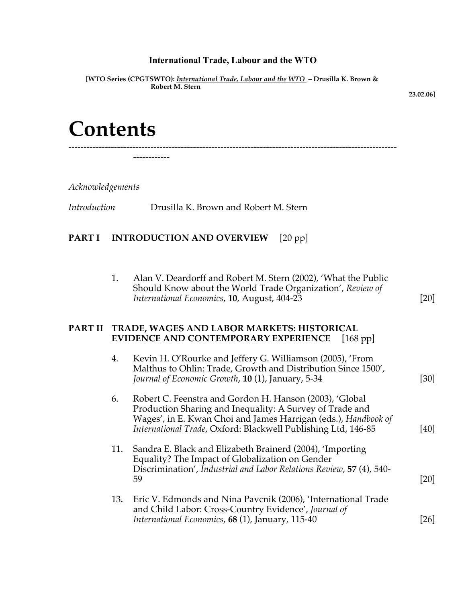# **International Trade, Labour and the WTO**

**[WTO Series (CPGTSWTO):** *International Trade, Labour and the WTO* **– Drusilla K. Brown & Robert M. Stern** 

**------------------------------------------------------------------------------------------------------------**

 **23.02.06]**

# **Contents**

**------------**

*Acknowledgements*

*Introduction* Drusilla K. Brown and Robert M. Stern

# **PART I INTRODUCTION AND OVERVIEW** [20 pp]

1. Alan V. Deardorff and Robert M. Stern (2002), 'What the Public Should Know about the World Trade Organization', *Review of International Economics*, **10**, August, 404-23 [20]

# **PART II TRADE, WAGES AND LABOR MARKETS: HISTORICAL EVIDENCE AND CONTEMPORARY EXPERIENCE** [168 pp]

| 4.  | Kevin H. O'Rourke and Jeffery G. Williamson (2005), 'From<br>Malthus to Ohlin: Trade, Growth and Distribution Since 1500',<br>Journal of Economic Growth, 10 (1), January, 5-34                                                                        | [30]            |
|-----|--------------------------------------------------------------------------------------------------------------------------------------------------------------------------------------------------------------------------------------------------------|-----------------|
| 6.  | Robert C. Feenstra and Gordon H. Hanson (2003), 'Global<br>Production Sharing and Inequality: A Survey of Trade and<br>Wages', in E. Kwan Choi and James Harrigan (eds.), Handbook of<br>International Trade, Oxford: Blackwell Publishing Ltd, 146-85 | [40]            |
| 11. | Sandra E. Black and Elizabeth Brainerd (2004), 'Importing<br>Equality? The Impact of Globalization on Gender<br>Discrimination', Industrial and Labor Relations Review, 57 (4), 540-<br>59                                                             | [20]            |
| 13. | Eric V. Edmonds and Nina Pavcnik (2006), 'International Trade<br>and Child Labor: Cross-Country Evidence', Journal of<br>International Economics, 68 (1), January, 115-40                                                                              | 26 <sup> </sup> |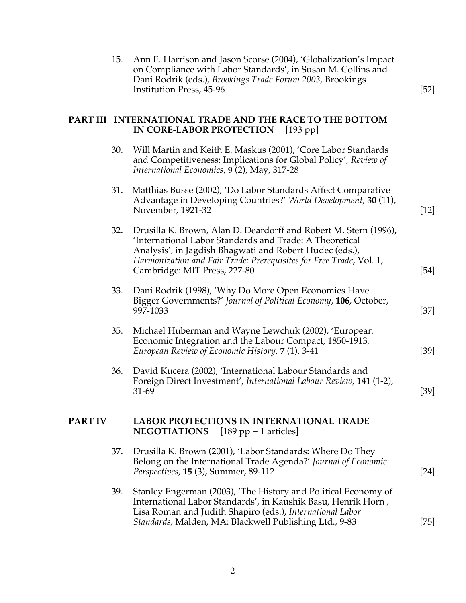|                | 15. | Ann E. Harrison and Jason Scorse (2004), 'Globalization's Impact<br>on Compliance with Labor Standards', in Susan M. Collins and<br>Dani Rodrik (eds.), Brookings Trade Forum 2003, Brookings<br>Institution Press, 45-96                                                                     | $[52]$ |
|----------------|-----|-----------------------------------------------------------------------------------------------------------------------------------------------------------------------------------------------------------------------------------------------------------------------------------------------|--------|
|                |     | PART III INTERNATIONAL TRADE AND THE RACE TO THE BOTTOM<br>IN CORE-LABOR PROTECTION<br>[193 pp]                                                                                                                                                                                               |        |
|                | 30. | Will Martin and Keith E. Maskus (2001), 'Core Labor Standards<br>and Competitiveness: Implications for Global Policy', Review of<br>International Economics, 9 (2), May, 317-28                                                                                                               |        |
|                | 31. | Matthias Busse (2002), 'Do Labor Standards Affect Comparative<br>Advantage in Developing Countries?' World Development, 30 (11),<br>November, 1921-32                                                                                                                                         | $[12]$ |
|                | 32. | Drusilla K. Brown, Alan D. Deardorff and Robert M. Stern (1996),<br>'International Labor Standards and Trade: A Theoretical<br>Analysis', in Jagdish Bhagwati and Robert Hudec (eds.),<br>Harmonization and Fair Trade: Prerequisites for Free Trade, Vol. 1,<br>Cambridge: MIT Press, 227-80 | $[54]$ |
|                | 33. | Dani Rodrik (1998), 'Why Do More Open Economies Have<br>Bigger Governments?' Journal of Political Economy, 106, October,<br>997-1033                                                                                                                                                          | $[37]$ |
|                | 35. | Michael Huberman and Wayne Lewchuk (2002), 'European<br>Economic Integration and the Labour Compact, 1850-1913,<br>European Review of Economic History, 7 (1), 3-41                                                                                                                           | $[39]$ |
|                | 36. | David Kucera (2002), 'International Labour Standards and<br>Foreign Direct Investment', International Labour Review, 141 (1-2),<br>$31-69$                                                                                                                                                    | [39]   |
| <b>PART IV</b> |     | <b>LABOR PROTECTIONS IN INTERNATIONAL TRADE</b><br><b>NEGOTIATIONS</b><br>$[189 pp + 1$ articles]                                                                                                                                                                                             |        |
|                | 37. | Drusilla K. Brown (2001), 'Labor Standards: Where Do They<br>Belong on the International Trade Agenda?' Journal of Economic<br>Perspectives, 15 (3), Summer, 89-112                                                                                                                           | [24]   |
|                | 39. | Stanley Engerman (2003), 'The History and Political Economy of<br>International Labor Standards', in Kaushik Basu, Henrik Horn,<br>Lisa Roman and Judith Shapiro (eds.), International Labor<br>Standards, Malden, MA: Blackwell Publishing Ltd., 9-83                                        | $[75]$ |
|                |     |                                                                                                                                                                                                                                                                                               |        |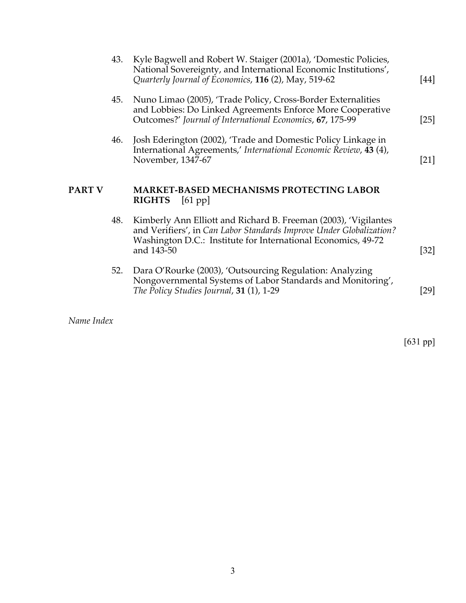|               | 43. | Kyle Bagwell and Robert W. Staiger (2001a), 'Domestic Policies,<br>National Sovereignty, and International Economic Institutions',<br>Quarterly Journal of Economics, 116 (2), May, 519-62                            | [44]   |
|---------------|-----|-----------------------------------------------------------------------------------------------------------------------------------------------------------------------------------------------------------------------|--------|
|               | 45. | Nuno Limao (2005), 'Trade Policy, Cross-Border Externalities<br>and Lobbies: Do Linked Agreements Enforce More Cooperative<br>Outcomes?' Journal of International Economics, 67, 175-99                               | $[25]$ |
|               | 46. | Josh Ederington (2002), 'Trade and Domestic Policy Linkage in<br>International Agreements,' International Economic Review, 43 (4),<br>November, 1347-67                                                               | $[21]$ |
| <b>PART V</b> |     | <b>MARKET-BASED MECHANISMS PROTECTING LABOR</b>                                                                                                                                                                       |        |
|               |     | <b>RIGHTS</b><br>[61 pp]                                                                                                                                                                                              |        |
|               | 48. | Kimberly Ann Elliott and Richard B. Freeman (2003), 'Vigilantes<br>and Verifiers', in Can Labor Standards Improve Under Globalization?<br>Washington D.C.: Institute for International Economics, 49-72<br>and 143-50 | $[32]$ |

*Name Index*

[631 pp]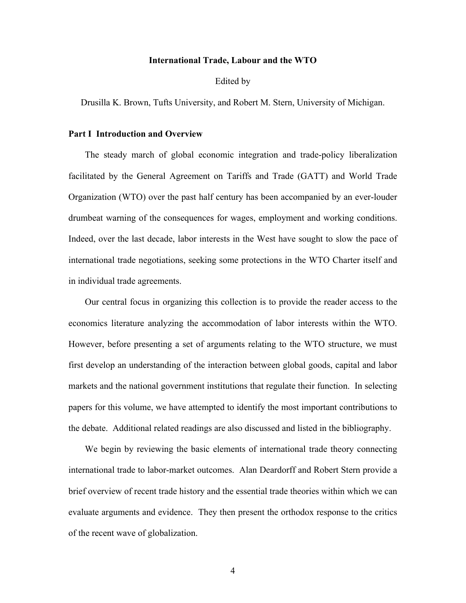#### **International Trade, Labour and the WTO**

#### Edited by

Drusilla K. Brown, Tufts University, and Robert M. Stern, University of Michigan.

# **Part I Introduction and Overview**

The steady march of global economic integration and trade-policy liberalization facilitated by the General Agreement on Tariffs and Trade (GATT) and World Trade Organization (WTO) over the past half century has been accompanied by an ever-louder drumbeat warning of the consequences for wages, employment and working conditions. Indeed, over the last decade, labor interests in the West have sought to slow the pace of international trade negotiations, seeking some protections in the WTO Charter itself and in individual trade agreements.

Our central focus in organizing this collection is to provide the reader access to the economics literature analyzing the accommodation of labor interests within the WTO. However, before presenting a set of arguments relating to the WTO structure, we must first develop an understanding of the interaction between global goods, capital and labor markets and the national government institutions that regulate their function. In selecting papers for this volume, we have attempted to identify the most important contributions to the debate. Additional related readings are also discussed and listed in the bibliography.

We begin by reviewing the basic elements of international trade theory connecting international trade to labor-market outcomes. Alan Deardorff and Robert Stern provide a brief overview of recent trade history and the essential trade theories within which we can evaluate arguments and evidence. They then present the orthodox response to the critics of the recent wave of globalization.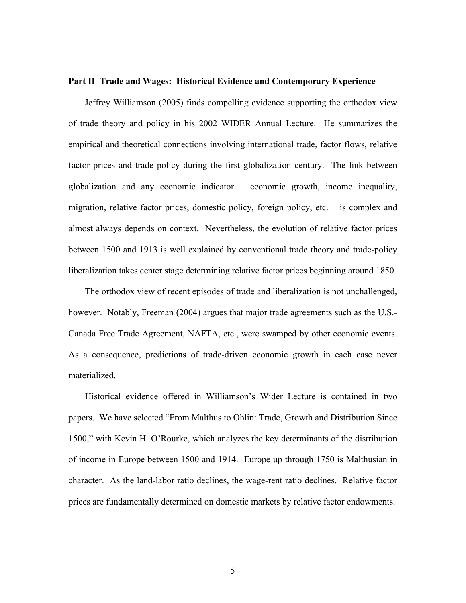#### **Part II Trade and Wages: Historical Evidence and Contemporary Experience**

Jeffrey Williamson (2005) finds compelling evidence supporting the orthodox view of trade theory and policy in his 2002 WIDER Annual Lecture. He summarizes the empirical and theoretical connections involving international trade, factor flows, relative factor prices and trade policy during the first globalization century. The link between globalization and any economic indicator – economic growth, income inequality, migration, relative factor prices, domestic policy, foreign policy, etc. – is complex and almost always depends on context. Nevertheless, the evolution of relative factor prices between 1500 and 1913 is well explained by conventional trade theory and trade-policy liberalization takes center stage determining relative factor prices beginning around 1850.

The orthodox view of recent episodes of trade and liberalization is not unchallenged, however. Notably, Freeman (2004) argues that major trade agreements such as the U.S.- Canada Free Trade Agreement, NAFTA, etc., were swamped by other economic events. As a consequence, predictions of trade-driven economic growth in each case never materialized.

Historical evidence offered in Williamson's Wider Lecture is contained in two papers. We have selected "From Malthus to Ohlin: Trade, Growth and Distribution Since 1500," with Kevin H. O'Rourke, which analyzes the key determinants of the distribution of income in Europe between 1500 and 1914. Europe up through 1750 is Malthusian in character. As the land-labor ratio declines, the wage-rent ratio declines. Relative factor prices are fundamentally determined on domestic markets by relative factor endowments.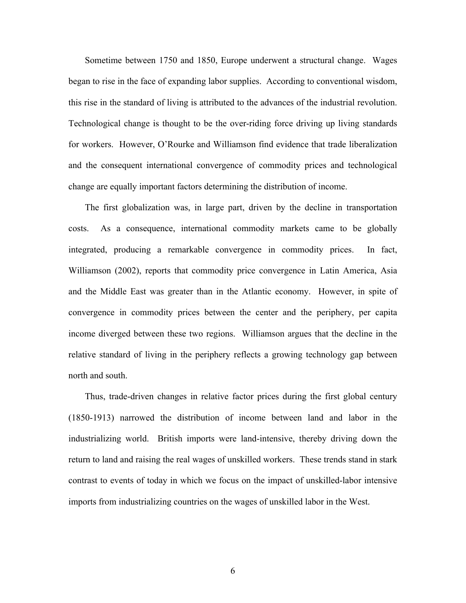Sometime between 1750 and 1850, Europe underwent a structural change. Wages began to rise in the face of expanding labor supplies. According to conventional wisdom, this rise in the standard of living is attributed to the advances of the industrial revolution. Technological change is thought to be the over-riding force driving up living standards for workers. However, O'Rourke and Williamson find evidence that trade liberalization and the consequent international convergence of commodity prices and technological change are equally important factors determining the distribution of income.

The first globalization was, in large part, driven by the decline in transportation costs. As a consequence, international commodity markets came to be globally integrated, producing a remarkable convergence in commodity prices. In fact, Williamson (2002), reports that commodity price convergence in Latin America, Asia and the Middle East was greater than in the Atlantic economy. However, in spite of convergence in commodity prices between the center and the periphery, per capita income diverged between these two regions. Williamson argues that the decline in the relative standard of living in the periphery reflects a growing technology gap between north and south.

Thus, trade-driven changes in relative factor prices during the first global century (1850-1913) narrowed the distribution of income between land and labor in the industrializing world. British imports were land-intensive, thereby driving down the return to land and raising the real wages of unskilled workers. These trends stand in stark contrast to events of today in which we focus on the impact of unskilled-labor intensive imports from industrializing countries on the wages of unskilled labor in the West.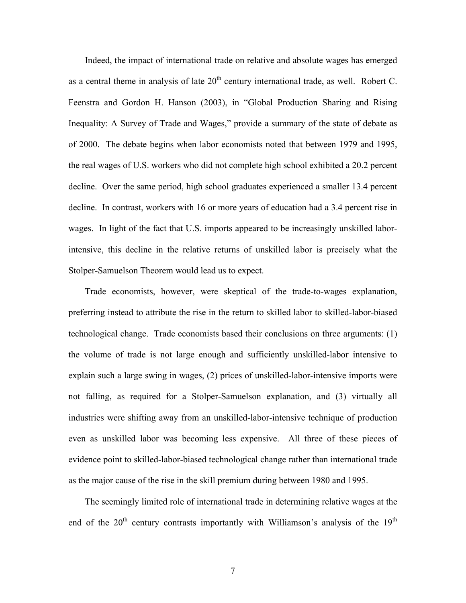Indeed, the impact of international trade on relative and absolute wages has emerged as a central theme in analysis of late  $20<sup>th</sup>$  century international trade, as well. Robert C. Feenstra and Gordon H. Hanson (2003), in "Global Production Sharing and Rising Inequality: A Survey of Trade and Wages," provide a summary of the state of debate as of 2000. The debate begins when labor economists noted that between 1979 and 1995, the real wages of U.S. workers who did not complete high school exhibited a 20.2 percent decline. Over the same period, high school graduates experienced a smaller 13.4 percent decline. In contrast, workers with 16 or more years of education had a 3.4 percent rise in wages. In light of the fact that U.S. imports appeared to be increasingly unskilled laborintensive, this decline in the relative returns of unskilled labor is precisely what the Stolper-Samuelson Theorem would lead us to expect.

Trade economists, however, were skeptical of the trade-to-wages explanation, preferring instead to attribute the rise in the return to skilled labor to skilled-labor-biased technological change. Trade economists based their conclusions on three arguments: (1) the volume of trade is not large enough and sufficiently unskilled-labor intensive to explain such a large swing in wages, (2) prices of unskilled-labor-intensive imports were not falling, as required for a Stolper-Samuelson explanation, and (3) virtually all industries were shifting away from an unskilled-labor-intensive technique of production even as unskilled labor was becoming less expensive. All three of these pieces of evidence point to skilled-labor-biased technological change rather than international trade as the major cause of the rise in the skill premium during between 1980 and 1995.

The seemingly limited role of international trade in determining relative wages at the end of the  $20<sup>th</sup>$  century contrasts importantly with Williamson's analysis of the  $19<sup>th</sup>$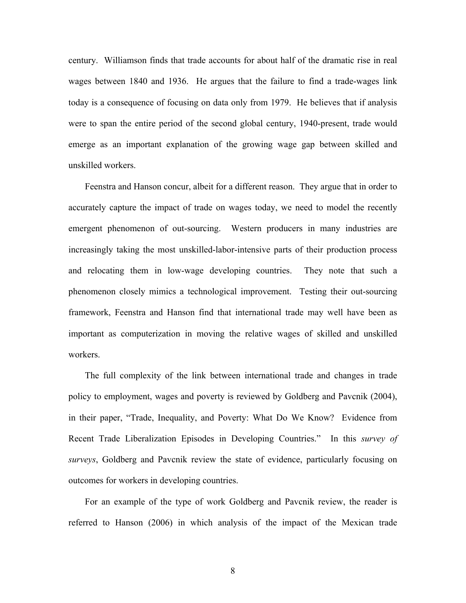century. Williamson finds that trade accounts for about half of the dramatic rise in real wages between 1840 and 1936.He argues that the failure to find a trade-wages link today is a consequence of focusing on data only from 1979. He believes that if analysis were to span the entire period of the second global century, 1940-present, trade would emerge as an important explanation of the growing wage gap between skilled and unskilled workers.

Feenstra and Hanson concur, albeit for a different reason. They argue that in order to accurately capture the impact of trade on wages today, we need to model the recently emergent phenomenon of out-sourcing. Western producers in many industries are increasingly taking the most unskilled-labor-intensive parts of their production process and relocating them in low-wage developing countries. They note that such a phenomenon closely mimics a technological improvement. Testing their out-sourcing framework, Feenstra and Hanson find that international trade may well have been as important as computerization in moving the relative wages of skilled and unskilled workers.

The full complexity of the link between international trade and changes in trade policy to employment, wages and poverty is reviewed by Goldberg and Pavcnik (2004), in their paper, "Trade, Inequality, and Poverty: What Do We Know? Evidence from Recent Trade Liberalization Episodes in Developing Countries." In this *survey of surveys*, Goldberg and Pavcnik review the state of evidence, particularly focusing on outcomes for workers in developing countries.

For an example of the type of work Goldberg and Pavcnik review, the reader is referred to Hanson (2006) in which analysis of the impact of the Mexican trade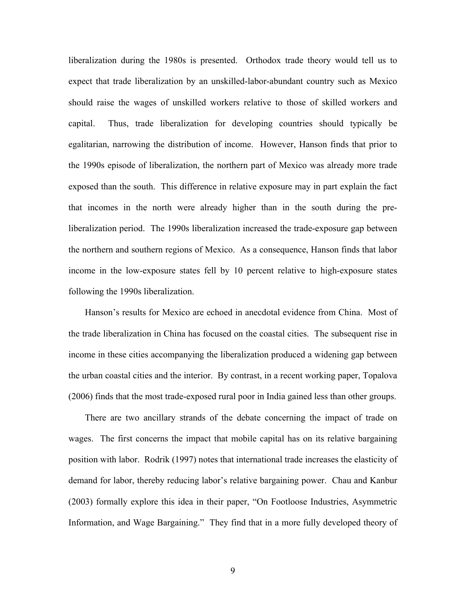liberalization during the 1980s is presented. Orthodox trade theory would tell us to expect that trade liberalization by an unskilled-labor-abundant country such as Mexico should raise the wages of unskilled workers relative to those of skilled workers and capital. Thus, trade liberalization for developing countries should typically be egalitarian, narrowing the distribution of income. However, Hanson finds that prior to the 1990s episode of liberalization, the northern part of Mexico was already more trade exposed than the south. This difference in relative exposure may in part explain the fact that incomes in the north were already higher than in the south during the preliberalization period. The 1990s liberalization increased the trade-exposure gap between the northern and southern regions of Mexico. As a consequence, Hanson finds that labor income in the low-exposure states fell by 10 percent relative to high-exposure states following the 1990s liberalization.

Hanson's results for Mexico are echoed in anecdotal evidence from China. Most of the trade liberalization in China has focused on the coastal cities. The subsequent rise in income in these cities accompanying the liberalization produced a widening gap between the urban coastal cities and the interior. By contrast, in a recent working paper, Topalova (2006) finds that the most trade-exposed rural poor in India gained less than other groups.

There are two ancillary strands of the debate concerning the impact of trade on wages. The first concerns the impact that mobile capital has on its relative bargaining position with labor. Rodrik (1997) notes that international trade increases the elasticity of demand for labor, thereby reducing labor's relative bargaining power. Chau and Kanbur (2003) formally explore this idea in their paper, "On Footloose Industries, Asymmetric Information, and Wage Bargaining." They find that in a more fully developed theory of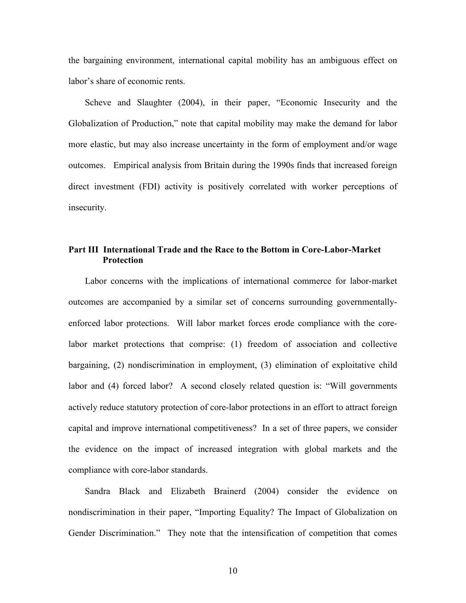the bargaining environment, international capital mobility has an ambiguous effect on labor's share of economic rents.

Scheve and Slaughter (2004), in their paper, "Economic Insecurity and the Globalization of Production," note that capital mobility may make the demand for labor more elastic, but may also increase uncertainty in the form of employment and/or wage outcomes. Empirical analysis from Britain during the 1990s finds that increased foreign direct investment (FDI) activity is positively correlated with worker perceptions of insecurity.

# **Part III International Trade and the Race to the Bottom in Core-Labor-Market Protection**

Labor concerns with the implications of international commerce for labor-market outcomes are accompanied by a similar set of concerns surrounding governmentallyenforced labor protections. Will labor market forces erode compliance with the corelabor market protections that comprise: (1) freedom of association and collective bargaining, (2) nondiscrimination in employment, (3) elimination of exploitative child labor and (4) forced labor? A second closely related question is: "Will governments actively reduce statutory protection of core-labor protections in an effort to attract foreign capital and improve international competitiveness? In a set of three papers, we consider the evidence on the impact of increased integration with global markets and the compliance with core-labor standards.

Sandra Black and Elizabeth Brainerd (2004) consider the evidence on nondiscrimination in their paper, "Importing Equality? The Impact of Globalization on Gender Discrimination." They note that the intensification of competition that comes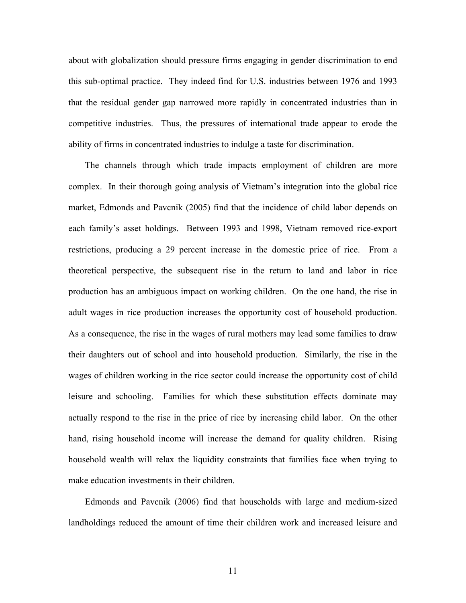about with globalization should pressure firms engaging in gender discrimination to end this sub-optimal practice. They indeed find for U.S. industries between 1976 and 1993 that the residual gender gap narrowed more rapidly in concentrated industries than in competitive industries. Thus, the pressures of international trade appear to erode the ability of firms in concentrated industries to indulge a taste for discrimination.

The channels through which trade impacts employment of children are more complex. In their thorough going analysis of Vietnam's integration into the global rice market, Edmonds and Pavcnik (2005) find that the incidence of child labor depends on each family's asset holdings. Between 1993 and 1998, Vietnam removed rice-export restrictions, producing a 29 percent increase in the domestic price of rice. From a theoretical perspective, the subsequent rise in the return to land and labor in rice production has an ambiguous impact on working children. On the one hand, the rise in adult wages in rice production increases the opportunity cost of household production. As a consequence, the rise in the wages of rural mothers may lead some families to draw their daughters out of school and into household production. Similarly, the rise in the wages of children working in the rice sector could increase the opportunity cost of child leisure and schooling. Families for which these substitution effects dominate may actually respond to the rise in the price of rice by increasing child labor. On the other hand, rising household income will increase the demand for quality children. Rising household wealth will relax the liquidity constraints that families face when trying to make education investments in their children.

Edmonds and Pavcnik (2006) find that households with large and medium-sized landholdings reduced the amount of time their children work and increased leisure and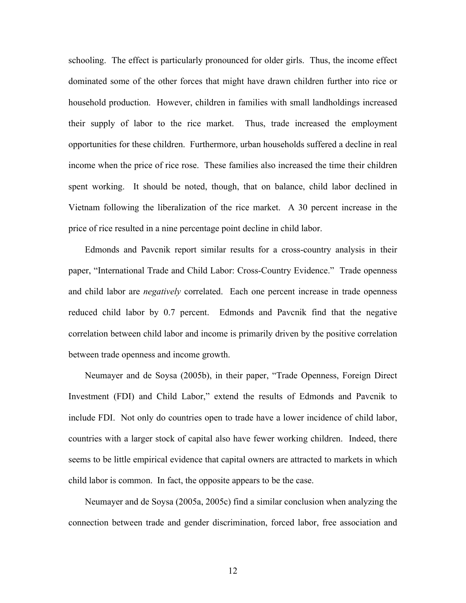schooling. The effect is particularly pronounced for older girls. Thus, the income effect dominated some of the other forces that might have drawn children further into rice or household production. However, children in families with small landholdings increased their supply of labor to the rice market. Thus, trade increased the employment opportunities for these children. Furthermore, urban households suffered a decline in real income when the price of rice rose. These families also increased the time their children spent working. It should be noted, though, that on balance, child labor declined in Vietnam following the liberalization of the rice market. A 30 percent increase in the price of rice resulted in a nine percentage point decline in child labor.

Edmonds and Pavcnik report similar results for a cross-country analysis in their paper, "International Trade and Child Labor: Cross-Country Evidence." Trade openness and child labor are *negatively* correlated. Each one percent increase in trade openness reduced child labor by 0.7 percent. Edmonds and Pavcnik find that the negative correlation between child labor and income is primarily driven by the positive correlation between trade openness and income growth.

Neumayer and de Soysa (2005b), in their paper, "Trade Openness, Foreign Direct Investment (FDI) and Child Labor," extend the results of Edmonds and Pavcnik to include FDI. Not only do countries open to trade have a lower incidence of child labor, countries with a larger stock of capital also have fewer working children. Indeed, there seems to be little empirical evidence that capital owners are attracted to markets in which child labor is common. In fact, the opposite appears to be the case.

Neumayer and de Soysa (2005a, 2005c) find a similar conclusion when analyzing the connection between trade and gender discrimination, forced labor, free association and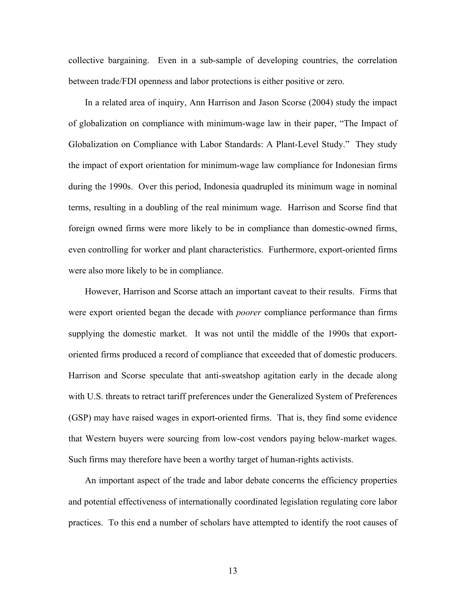collective bargaining. Even in a sub-sample of developing countries, the correlation between trade/FDI openness and labor protections is either positive or zero.

In a related area of inquiry, Ann Harrison and Jason Scorse (2004) study the impact of globalization on compliance with minimum-wage law in their paper, "The Impact of Globalization on Compliance with Labor Standards: A Plant-Level Study." They study the impact of export orientation for minimum-wage law compliance for Indonesian firms during the 1990s. Over this period, Indonesia quadrupled its minimum wage in nominal terms, resulting in a doubling of the real minimum wage. Harrison and Scorse find that foreign owned firms were more likely to be in compliance than domestic-owned firms, even controlling for worker and plant characteristics. Furthermore, export-oriented firms were also more likely to be in compliance.

However, Harrison and Scorse attach an important caveat to their results. Firms that were export oriented began the decade with *poorer* compliance performance than firms supplying the domestic market. It was not until the middle of the 1990s that exportoriented firms produced a record of compliance that exceeded that of domestic producers. Harrison and Scorse speculate that anti-sweatshop agitation early in the decade along with U.S. threats to retract tariff preferences under the Generalized System of Preferences (GSP) may have raised wages in export-oriented firms. That is, they find some evidence that Western buyers were sourcing from low-cost vendors paying below-market wages. Such firms may therefore have been a worthy target of human-rights activists.

An important aspect of the trade and labor debate concerns the efficiency properties and potential effectiveness of internationally coordinated legislation regulating core labor practices. To this end a number of scholars have attempted to identify the root causes of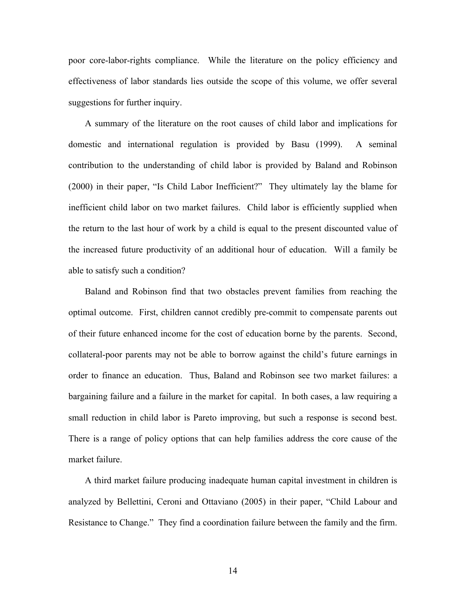poor core-labor-rights compliance. While the literature on the policy efficiency and effectiveness of labor standards lies outside the scope of this volume, we offer several suggestions for further inquiry.

A summary of the literature on the root causes of child labor and implications for domestic and international regulation is provided by Basu (1999). A seminal contribution to the understanding of child labor is provided by Baland and Robinson (2000) in their paper, "Is Child Labor Inefficient?" They ultimately lay the blame for inefficient child labor on two market failures. Child labor is efficiently supplied when the return to the last hour of work by a child is equal to the present discounted value of the increased future productivity of an additional hour of education. Will a family be able to satisfy such a condition?

Baland and Robinson find that two obstacles prevent families from reaching the optimal outcome. First, children cannot credibly pre-commit to compensate parents out of their future enhanced income for the cost of education borne by the parents. Second, collateral-poor parents may not be able to borrow against the child's future earnings in order to finance an education. Thus, Baland and Robinson see two market failures: a bargaining failure and a failure in the market for capital. In both cases, a law requiring a small reduction in child labor is Pareto improving, but such a response is second best. There is a range of policy options that can help families address the core cause of the market failure.

A third market failure producing inadequate human capital investment in children is analyzed by Bellettini, Ceroni and Ottaviano (2005) in their paper, "Child Labour and Resistance to Change." They find a coordination failure between the family and the firm.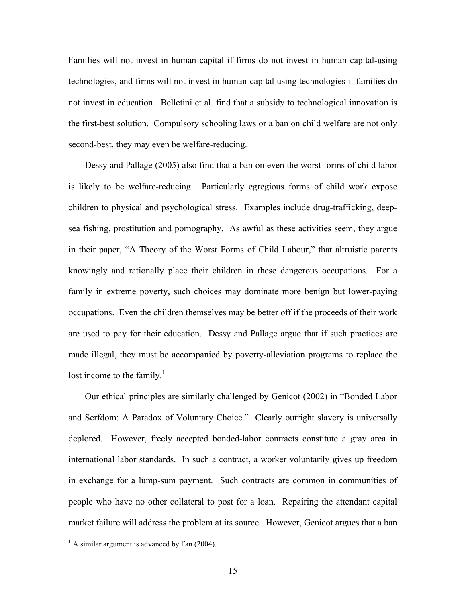Families will not invest in human capital if firms do not invest in human capital-using technologies, and firms will not invest in human-capital using technologies if families do not invest in education. Belletini et al. find that a subsidy to technological innovation is the first-best solution. Compulsory schooling laws or a ban on child welfare are not only second-best, they may even be welfare-reducing.

Dessy and Pallage (2005) also find that a ban on even the worst forms of child labor is likely to be welfare-reducing. Particularly egregious forms of child work expose children to physical and psychological stress. Examples include drug-trafficking, deepsea fishing, prostitution and pornography. As awful as these activities seem, they argue in their paper, "A Theory of the Worst Forms of Child Labour," that altruistic parents knowingly and rationally place their children in these dangerous occupations. For a family in extreme poverty, such choices may dominate more benign but lower-paying occupations. Even the children themselves may be better off if the proceeds of their work are used to pay for their education. Dessy and Pallage argue that if such practices are made illegal, they must be accompanied by poverty-alleviation programs to replace the lost income to the family. $\frac{1}{1}$ 

Our ethical principles are similarly challenged by Genicot (2002) in "Bonded Labor and Serfdom: A Paradox of Voluntary Choice." Clearly outright slavery is universally deplored. However, freely accepted bonded-labor contracts constitute a gray area in international labor standards. In such a contract, a worker voluntarily gives up freedom in exchange for a lump-sum payment. Such contracts are common in communities of people who have no other collateral to post for a loan. Repairing the attendant capital market failure will address the problem at its source. However, Genicot argues that a ban

 $\frac{1}{1}$  $^{1}$  A similar argument is advanced by Fan (2004).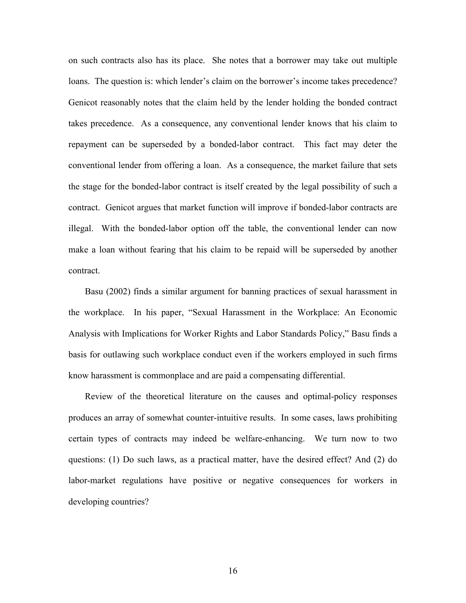on such contracts also has its place. She notes that a borrower may take out multiple loans. The question is: which lender's claim on the borrower's income takes precedence? Genicot reasonably notes that the claim held by the lender holding the bonded contract takes precedence. As a consequence, any conventional lender knows that his claim to repayment can be superseded by a bonded-labor contract. This fact may deter the conventional lender from offering a loan. As a consequence, the market failure that sets the stage for the bonded-labor contract is itself created by the legal possibility of such a contract. Genicot argues that market function will improve if bonded-labor contracts are illegal. With the bonded-labor option off the table, the conventional lender can now make a loan without fearing that his claim to be repaid will be superseded by another contract.

Basu (2002) finds a similar argument for banning practices of sexual harassment in the workplace. In his paper, "Sexual Harassment in the Workplace: An Economic Analysis with Implications for Worker Rights and Labor Standards Policy," Basu finds a basis for outlawing such workplace conduct even if the workers employed in such firms know harassment is commonplace and are paid a compensating differential.

Review of the theoretical literature on the causes and optimal-policy responses produces an array of somewhat counter-intuitive results. In some cases, laws prohibiting certain types of contracts may indeed be welfare-enhancing. We turn now to two questions: (1) Do such laws, as a practical matter, have the desired effect? And (2) do labor-market regulations have positive or negative consequences for workers in developing countries?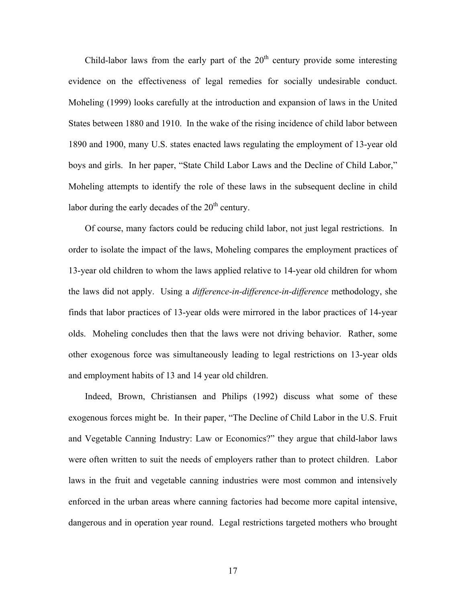Child-labor laws from the early part of the  $20<sup>th</sup>$  century provide some interesting evidence on the effectiveness of legal remedies for socially undesirable conduct. Moheling (1999) looks carefully at the introduction and expansion of laws in the United States between 1880 and 1910. In the wake of the rising incidence of child labor between 1890 and 1900, many U.S. states enacted laws regulating the employment of 13-year old boys and girls. In her paper, "State Child Labor Laws and the Decline of Child Labor," Moheling attempts to identify the role of these laws in the subsequent decline in child labor during the early decades of the  $20<sup>th</sup>$  century.

Of course, many factors could be reducing child labor, not just legal restrictions. In order to isolate the impact of the laws, Moheling compares the employment practices of 13-year old children to whom the laws applied relative to 14-year old children for whom the laws did not apply. Using a *difference-in-difference-in-difference* methodology, she finds that labor practices of 13-year olds were mirrored in the labor practices of 14-year olds. Moheling concludes then that the laws were not driving behavior. Rather, some other exogenous force was simultaneously leading to legal restrictions on 13-year olds and employment habits of 13 and 14 year old children.

Indeed, Brown, Christiansen and Philips (1992) discuss what some of these exogenous forces might be. In their paper, "The Decline of Child Labor in the U.S. Fruit and Vegetable Canning Industry: Law or Economics?" they argue that child-labor laws were often written to suit the needs of employers rather than to protect children. Labor laws in the fruit and vegetable canning industries were most common and intensively enforced in the urban areas where canning factories had become more capital intensive, dangerous and in operation year round. Legal restrictions targeted mothers who brought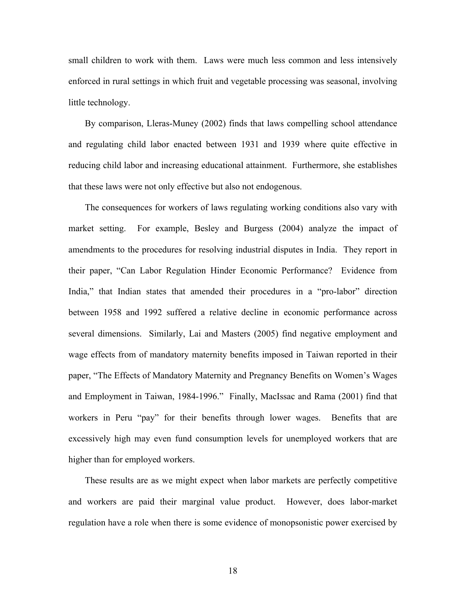small children to work with them. Laws were much less common and less intensively enforced in rural settings in which fruit and vegetable processing was seasonal, involving little technology.

By comparison, Lleras-Muney (2002) finds that laws compelling school attendance and regulating child labor enacted between 1931 and 1939 where quite effective in reducing child labor and increasing educational attainment. Furthermore, she establishes that these laws were not only effective but also not endogenous.

The consequences for workers of laws regulating working conditions also vary with market setting. For example, Besley and Burgess (2004) analyze the impact of amendments to the procedures for resolving industrial disputes in India. They report in their paper, "Can Labor Regulation Hinder Economic Performance? Evidence from India," that Indian states that amended their procedures in a "pro-labor" direction between 1958 and 1992 suffered a relative decline in economic performance across several dimensions. Similarly, Lai and Masters (2005) find negative employment and wage effects from of mandatory maternity benefits imposed in Taiwan reported in their paper, "The Effects of Mandatory Maternity and Pregnancy Benefits on Women's Wages and Employment in Taiwan, 1984-1996." Finally, MacIssac and Rama (2001) find that workers in Peru "pay" for their benefits through lower wages. Benefits that are excessively high may even fund consumption levels for unemployed workers that are higher than for employed workers.

These results are as we might expect when labor markets are perfectly competitive and workers are paid their marginal value product. However, does labor-market regulation have a role when there is some evidence of monopsonistic power exercised by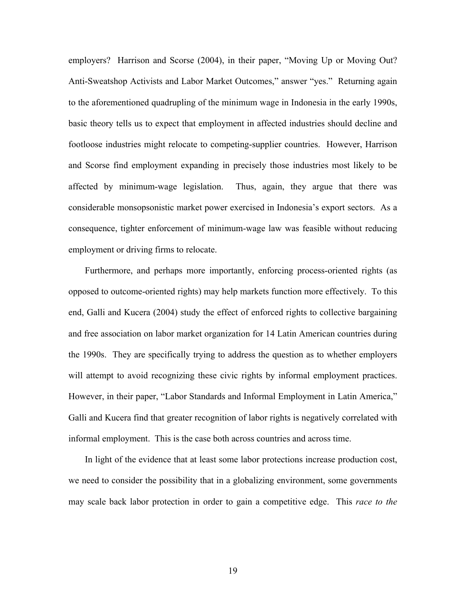employers? Harrison and Scorse (2004), in their paper, "Moving Up or Moving Out? Anti-Sweatshop Activists and Labor Market Outcomes," answer "yes." Returning again to the aforementioned quadrupling of the minimum wage in Indonesia in the early 1990s, basic theory tells us to expect that employment in affected industries should decline and footloose industries might relocate to competing-supplier countries. However, Harrison and Scorse find employment expanding in precisely those industries most likely to be affected by minimum-wage legislation. Thus, again, they argue that there was considerable monsopsonistic market power exercised in Indonesia's export sectors. As a consequence, tighter enforcement of minimum-wage law was feasible without reducing employment or driving firms to relocate.

Furthermore, and perhaps more importantly, enforcing process-oriented rights (as opposed to outcome-oriented rights) may help markets function more effectively. To this end, Galli and Kucera (2004) study the effect of enforced rights to collective bargaining and free association on labor market organization for 14 Latin American countries during the 1990s. They are specifically trying to address the question as to whether employers will attempt to avoid recognizing these civic rights by informal employment practices. However, in their paper, "Labor Standards and Informal Employment in Latin America," Galli and Kucera find that greater recognition of labor rights is negatively correlated with informal employment. This is the case both across countries and across time.

In light of the evidence that at least some labor protections increase production cost, we need to consider the possibility that in a globalizing environment, some governments may scale back labor protection in order to gain a competitive edge. This *race to the*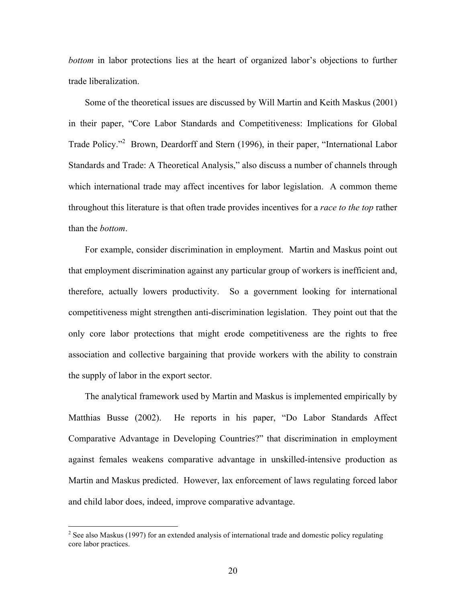*bottom* in labor protections lies at the heart of organized labor's objections to further trade liberalization.

Some of the theoretical issues are discussed by Will Martin and Keith Maskus (2001) in their paper, "Core Labor Standards and Competitiveness: Implications for Global Trade Policy."<sup>2</sup> Brown, Deardorff and Stern (1996), in their paper, "International Labor Standards and Trade: A Theoretical Analysis," also discuss a number of channels through which international trade may affect incentives for labor legislation. A common theme throughout this literature is that often trade provides incentives for a *race to the top* rather than the *bottom*.

For example, consider discrimination in employment. Martin and Maskus point out that employment discrimination against any particular group of workers is inefficient and, therefore, actually lowers productivity. So a government looking for international competitiveness might strengthen anti-discrimination legislation. They point out that the only core labor protections that might erode competitiveness are the rights to free association and collective bargaining that provide workers with the ability to constrain the supply of labor in the export sector.

The analytical framework used by Martin and Maskus is implemented empirically by Matthias Busse (2002). He reports in his paper, "Do Labor Standards Affect Comparative Advantage in Developing Countries?" that discrimination in employment against females weakens comparative advantage in unskilled-intensive production as Martin and Maskus predicted. However, lax enforcement of laws regulating forced labor and child labor does, indeed, improve comparative advantage.

 $\frac{1}{2}$ <sup>2</sup> See also Maskus (1997) for an extended analysis of international trade and domestic policy regulating core labor practices.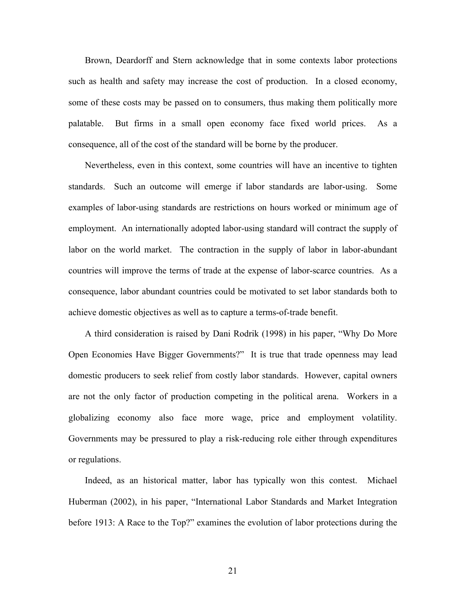Brown, Deardorff and Stern acknowledge that in some contexts labor protections such as health and safety may increase the cost of production. In a closed economy, some of these costs may be passed on to consumers, thus making them politically more palatable. But firms in a small open economy face fixed world prices. As a consequence, all of the cost of the standard will be borne by the producer.

Nevertheless, even in this context, some countries will have an incentive to tighten standards. Such an outcome will emerge if labor standards are labor-using. Some examples of labor-using standards are restrictions on hours worked or minimum age of employment. An internationally adopted labor-using standard will contract the supply of labor on the world market. The contraction in the supply of labor in labor-abundant countries will improve the terms of trade at the expense of labor-scarce countries. As a consequence, labor abundant countries could be motivated to set labor standards both to achieve domestic objectives as well as to capture a terms-of-trade benefit.

A third consideration is raised by Dani Rodrik (1998) in his paper, "Why Do More Open Economies Have Bigger Governments?" It is true that trade openness may lead domestic producers to seek relief from costly labor standards. However, capital owners are not the only factor of production competing in the political arena. Workers in a globalizing economy also face more wage, price and employment volatility. Governments may be pressured to play a risk-reducing role either through expenditures or regulations.

Indeed, as an historical matter, labor has typically won this contest. Michael Huberman (2002), in his paper, "International Labor Standards and Market Integration before 1913: A Race to the Top?" examines the evolution of labor protections during the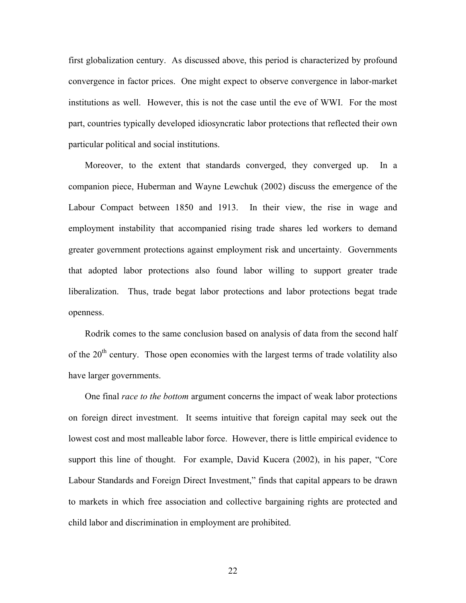first globalization century. As discussed above, this period is characterized by profound convergence in factor prices. One might expect to observe convergence in labor-market institutions as well. However, this is not the case until the eve of WWI. For the most part, countries typically developed idiosyncratic labor protections that reflected their own particular political and social institutions.

Moreover, to the extent that standards converged, they converged up. In a companion piece, Huberman and Wayne Lewchuk (2002) discuss the emergence of the Labour Compact between 1850 and 1913. In their view, the rise in wage and employment instability that accompanied rising trade shares led workers to demand greater government protections against employment risk and uncertainty. Governments that adopted labor protections also found labor willing to support greater trade liberalization. Thus, trade begat labor protections and labor protections begat trade openness.

Rodrik comes to the same conclusion based on analysis of data from the second half of the  $20<sup>th</sup>$  century. Those open economies with the largest terms of trade volatility also have larger governments.

One final *race to the bottom* argument concerns the impact of weak labor protections on foreign direct investment. It seems intuitive that foreign capital may seek out the lowest cost and most malleable labor force. However, there is little empirical evidence to support this line of thought. For example, David Kucera (2002), in his paper, "Core Labour Standards and Foreign Direct Investment," finds that capital appears to be drawn to markets in which free association and collective bargaining rights are protected and child labor and discrimination in employment are prohibited.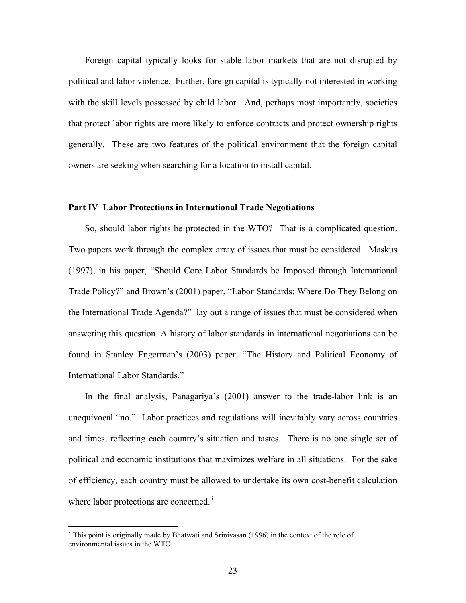Foreign capital typically looks for stable labor markets that are not disrupted by political and labor violence. Further, foreign capital is typically not interested in working with the skill levels possessed by child labor. And, perhaps most importantly, societies that protect labor rights are more likely to enforce contracts and protect ownership rights generally. These are two features of the political environment that the foreign capital owners are seeking when searching for a location to install capital.

# **Part IV Labor Protections in International Trade Negotiations**

So, should labor rights be protected in the WTO? That is a complicated question. Two papers work through the complex array of issues that must be considered. Maskus (1997), in his paper, "Should Core Labor Standards be Imposed through International Trade Policy?" and Brown's (2001) paper, "Labor Standards: Where Do They Belong on the International Trade Agenda?" lay out a range of issues that must be considered when answering this question. A history of labor standards in international negotiations can be found in Stanley Engerman's (2003) paper, "The History and Political Economy of International Labor Standards."

In the final analysis, Panagariya's (2001) answer to the trade-labor link is an unequivocal "no." Labor practices and regulations will inevitably vary across countries and times, reflecting each country's situation and tastes. There is no one single set of political and economic institutions that maximizes welfare in all situations. For the sake of efficiency, each country must be allowed to undertake its own cost-benefit calculation where labor protections are concerned.<sup>3</sup>

<sup>&</sup>lt;sup>3</sup>  $3$  This point is originally made by Bhatwati and Srinivasan (1996) in the context of the role of environmental issues in the WTO.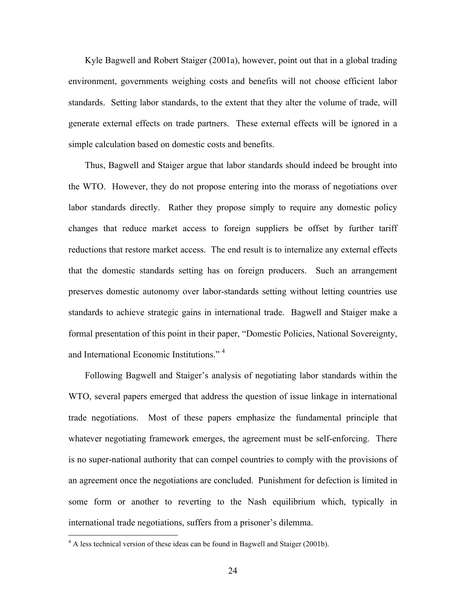Kyle Bagwell and Robert Staiger (2001a), however, point out that in a global trading environment, governments weighing costs and benefits will not choose efficient labor standards. Setting labor standards, to the extent that they alter the volume of trade, will generate external effects on trade partners. These external effects will be ignored in a simple calculation based on domestic costs and benefits.

Thus, Bagwell and Staiger argue that labor standards should indeed be brought into the WTO. However, they do not propose entering into the morass of negotiations over labor standards directly. Rather they propose simply to require any domestic policy changes that reduce market access to foreign suppliers be offset by further tariff reductions that restore market access. The end result is to internalize any external effects that the domestic standards setting has on foreign producers. Such an arrangement preserves domestic autonomy over labor-standards setting without letting countries use standards to achieve strategic gains in international trade. Bagwell and Staiger make a formal presentation of this point in their paper, "Domestic Policies, National Sovereignty, and International Economic Institutions." 4

Following Bagwell and Staiger's analysis of negotiating labor standards within the WTO, several papers emerged that address the question of issue linkage in international trade negotiations. Most of these papers emphasize the fundamental principle that whatever negotiating framework emerges, the agreement must be self-enforcing. There is no super-national authority that can compel countries to comply with the provisions of an agreement once the negotiations are concluded. Punishment for defection is limited in some form or another to reverting to the Nash equilibrium which, typically in international trade negotiations, suffers from a prisoner's dilemma.

 $\frac{1}{4}$ <sup>4</sup> A less technical version of these ideas can be found in Bagwell and Staiger (2001b).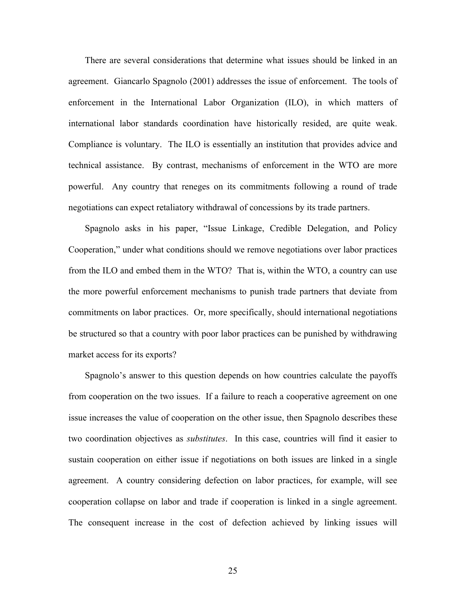There are several considerations that determine what issues should be linked in an agreement. Giancarlo Spagnolo (2001) addresses the issue of enforcement. The tools of enforcement in the International Labor Organization (ILO), in which matters of international labor standards coordination have historically resided, are quite weak. Compliance is voluntary. The ILO is essentially an institution that provides advice and technical assistance. By contrast, mechanisms of enforcement in the WTO are more powerful. Any country that reneges on its commitments following a round of trade negotiations can expect retaliatory withdrawal of concessions by its trade partners.

Spagnolo asks in his paper, "Issue Linkage, Credible Delegation, and Policy Cooperation," under what conditions should we remove negotiations over labor practices from the ILO and embed them in the WTO? That is, within the WTO, a country can use the more powerful enforcement mechanisms to punish trade partners that deviate from commitments on labor practices. Or, more specifically, should international negotiations be structured so that a country with poor labor practices can be punished by withdrawing market access for its exports?

Spagnolo's answer to this question depends on how countries calculate the payoffs from cooperation on the two issues. If a failure to reach a cooperative agreement on one issue increases the value of cooperation on the other issue, then Spagnolo describes these two coordination objectives as *substitutes*. In this case, countries will find it easier to sustain cooperation on either issue if negotiations on both issues are linked in a single agreement. A country considering defection on labor practices, for example, will see cooperation collapse on labor and trade if cooperation is linked in a single agreement. The consequent increase in the cost of defection achieved by linking issues will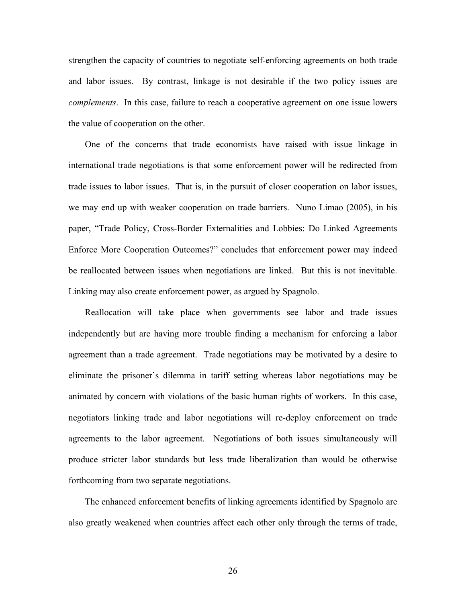strengthen the capacity of countries to negotiate self-enforcing agreements on both trade and labor issues. By contrast, linkage is not desirable if the two policy issues are *complements*. In this case, failure to reach a cooperative agreement on one issue lowers the value of cooperation on the other.

One of the concerns that trade economists have raised with issue linkage in international trade negotiations is that some enforcement power will be redirected from trade issues to labor issues. That is, in the pursuit of closer cooperation on labor issues, we may end up with weaker cooperation on trade barriers. Nuno Limao (2005), in his paper, "Trade Policy, Cross-Border Externalities and Lobbies: Do Linked Agreements Enforce More Cooperation Outcomes?" concludes that enforcement power may indeed be reallocated between issues when negotiations are linked. But this is not inevitable. Linking may also create enforcement power, as argued by Spagnolo.

Reallocation will take place when governments see labor and trade issues independently but are having more trouble finding a mechanism for enforcing a labor agreement than a trade agreement. Trade negotiations may be motivated by a desire to eliminate the prisoner's dilemma in tariff setting whereas labor negotiations may be animated by concern with violations of the basic human rights of workers. In this case, negotiators linking trade and labor negotiations will re-deploy enforcement on trade agreements to the labor agreement. Negotiations of both issues simultaneously will produce stricter labor standards but less trade liberalization than would be otherwise forthcoming from two separate negotiations.

The enhanced enforcement benefits of linking agreements identified by Spagnolo are also greatly weakened when countries affect each other only through the terms of trade,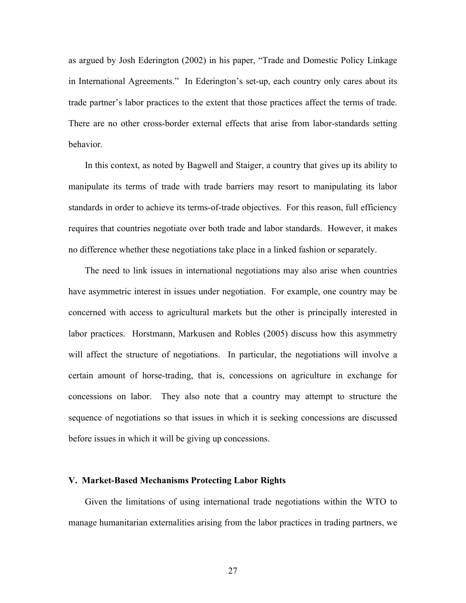as argued by Josh Ederington (2002) in his paper, "Trade and Domestic Policy Linkage in International Agreements." In Ederington's set-up, each country only cares about its trade partner's labor practices to the extent that those practices affect the terms of trade. There are no other cross-border external effects that arise from labor-standards setting behavior.

In this context, as noted by Bagwell and Staiger, a country that gives up its ability to manipulate its terms of trade with trade barriers may resort to manipulating its labor standards in order to achieve its terms-of-trade objectives. For this reason, full efficiency requires that countries negotiate over both trade and labor standards. However, it makes no difference whether these negotiations take place in a linked fashion or separately.

The need to link issues in international negotiations may also arise when countries have asymmetric interest in issues under negotiation. For example, one country may be concerned with access to agricultural markets but the other is principally interested in labor practices. Horstmann, Markusen and Robles (2005) discuss how this asymmetry will affect the structure of negotiations. In particular, the negotiations will involve a certain amount of horse-trading, that is, concessions on agriculture in exchange for concessions on labor. They also note that a country may attempt to structure the sequence of negotiations so that issues in which it is seeking concessions are discussed before issues in which it will be giving up concessions.

#### **V. Market-Based Mechanisms Protecting Labor Rights**

Given the limitations of using international trade negotiations within the WTO to manage humanitarian externalities arising from the labor practices in trading partners, we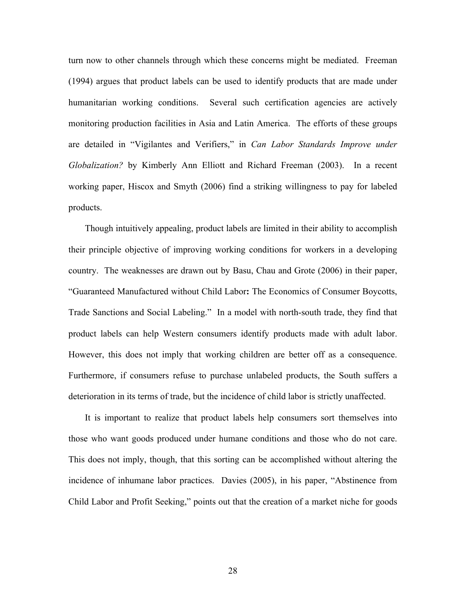turn now to other channels through which these concerns might be mediated. Freeman (1994) argues that product labels can be used to identify products that are made under humanitarian working conditions. Several such certification agencies are actively monitoring production facilities in Asia and Latin America. The efforts of these groups are detailed in "Vigilantes and Verifiers," in *Can Labor Standards Improve under Globalization?* by Kimberly Ann Elliott and Richard Freeman (2003). In a recent working paper, Hiscox and Smyth (2006) find a striking willingness to pay for labeled products.

Though intuitively appealing, product labels are limited in their ability to accomplish their principle objective of improving working conditions for workers in a developing country. The weaknesses are drawn out by Basu, Chau and Grote (2006) in their paper, "Guaranteed Manufactured without Child Labor**:** The Economics of Consumer Boycotts, Trade Sanctions and Social Labeling." In a model with north-south trade, they find that product labels can help Western consumers identify products made with adult labor. However, this does not imply that working children are better off as a consequence. Furthermore, if consumers refuse to purchase unlabeled products, the South suffers a deterioration in its terms of trade, but the incidence of child labor is strictly unaffected.

It is important to realize that product labels help consumers sort themselves into those who want goods produced under humane conditions and those who do not care. This does not imply, though, that this sorting can be accomplished without altering the incidence of inhumane labor practices. Davies (2005), in his paper, "Abstinence from Child Labor and Profit Seeking," points out that the creation of a market niche for goods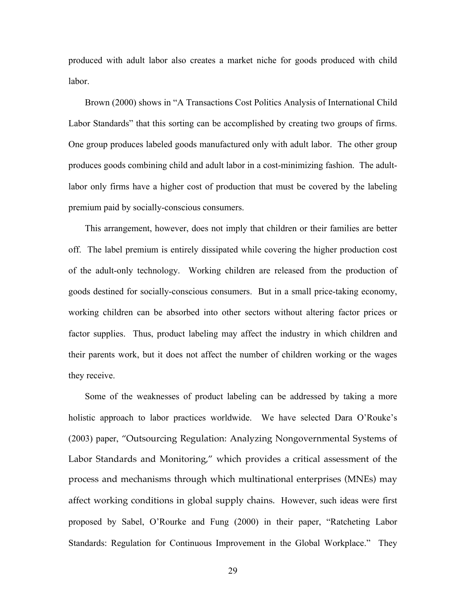produced with adult labor also creates a market niche for goods produced with child labor.

Brown (2000) shows in "A Transactions Cost Politics Analysis of International Child Labor Standards" that this sorting can be accomplished by creating two groups of firms. One group produces labeled goods manufactured only with adult labor. The other group produces goods combining child and adult labor in a cost-minimizing fashion. The adultlabor only firms have a higher cost of production that must be covered by the labeling premium paid by socially-conscious consumers.

This arrangement, however, does not imply that children or their families are better off. The label premium is entirely dissipated while covering the higher production cost of the adult-only technology. Working children are released from the production of goods destined for socially-conscious consumers. But in a small price-taking economy, working children can be absorbed into other sectors without altering factor prices or factor supplies. Thus, product labeling may affect the industry in which children and their parents work, but it does not affect the number of children working or the wages they receive.

Some of the weaknesses of product labeling can be addressed by taking a more holistic approach to labor practices worldwide. We have selected Dara O'Rouke's (2003) paper, "Outsourcing Regulation: Analyzing Nongovernmental Systems of Labor Standards and Monitoring," which provides a critical assessment of the process and mechanisms through which multinational enterprises (MNEs) may affect working conditions in global supply chains. However, such ideas were first proposed by Sabel, O'Rourke and Fung (2000) in their paper, "Ratcheting Labor Standards: Regulation for Continuous Improvement in the Global Workplace." They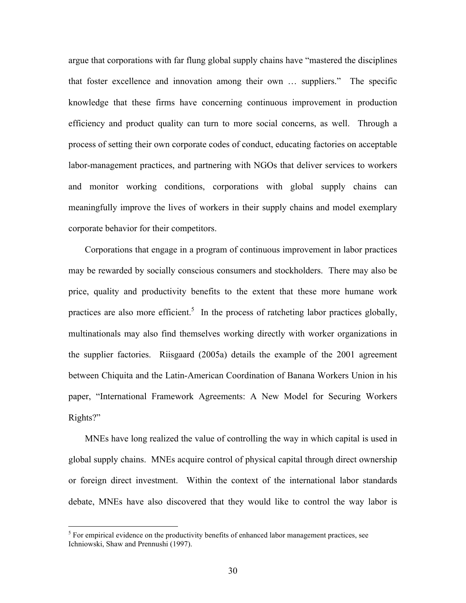argue that corporations with far flung global supply chains have "mastered the disciplines that foster excellence and innovation among their own … suppliers." The specific knowledge that these firms have concerning continuous improvement in production efficiency and product quality can turn to more social concerns, as well. Through a process of setting their own corporate codes of conduct, educating factories on acceptable labor-management practices, and partnering with NGOs that deliver services to workers and monitor working conditions, corporations with global supply chains can meaningfully improve the lives of workers in their supply chains and model exemplary corporate behavior for their competitors.

Corporations that engage in a program of continuous improvement in labor practices may be rewarded by socially conscious consumers and stockholders. There may also be price, quality and productivity benefits to the extent that these more humane work practices are also more efficient.<sup>5</sup> In the process of ratcheting labor practices globally, multinationals may also find themselves working directly with worker organizations in the supplier factories. Riisgaard (2005a) details the example of the 2001 agreement between Chiquita and the Latin-American Coordination of Banana Workers Union in his paper, "International Framework Agreements: A New Model for Securing Workers Rights?"

MNEs have long realized the value of controlling the way in which capital is used in global supply chains. MNEs acquire control of physical capital through direct ownership or foreign direct investment. Within the context of the international labor standards debate, MNEs have also discovered that they would like to control the way labor is

 $\frac{1}{5}$  $<sup>5</sup>$  For empirical evidence on the productivity benefits of enhanced labor management practices, see</sup> Ichniowski, Shaw and Prennushi (1997).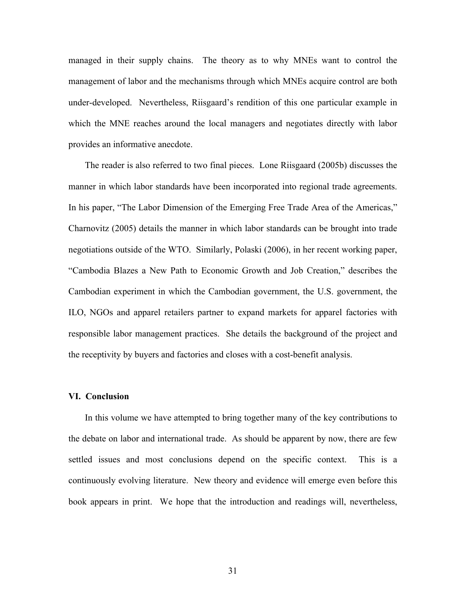managed in their supply chains. The theory as to why MNEs want to control the management of labor and the mechanisms through which MNEs acquire control are both under-developed. Nevertheless, Riisgaard's rendition of this one particular example in which the MNE reaches around the local managers and negotiates directly with labor provides an informative anecdote.

The reader is also referred to two final pieces. Lone Riisgaard (2005b) discusses the manner in which labor standards have been incorporated into regional trade agreements. In his paper, "The Labor Dimension of the Emerging Free Trade Area of the Americas," Charnovitz (2005) details the manner in which labor standards can be brought into trade negotiations outside of the WTO. Similarly, Polaski (2006), in her recent working paper, "Cambodia Blazes a New Path to Economic Growth and Job Creation," describes the Cambodian experiment in which the Cambodian government, the U.S. government, the ILO, NGOs and apparel retailers partner to expand markets for apparel factories with responsible labor management practices. She details the background of the project and the receptivity by buyers and factories and closes with a cost-benefit analysis.

#### **VI. Conclusion**

In this volume we have attempted to bring together many of the key contributions to the debate on labor and international trade. As should be apparent by now, there are few settled issues and most conclusions depend on the specific context. This is a continuously evolving literature. New theory and evidence will emerge even before this book appears in print. We hope that the introduction and readings will, nevertheless,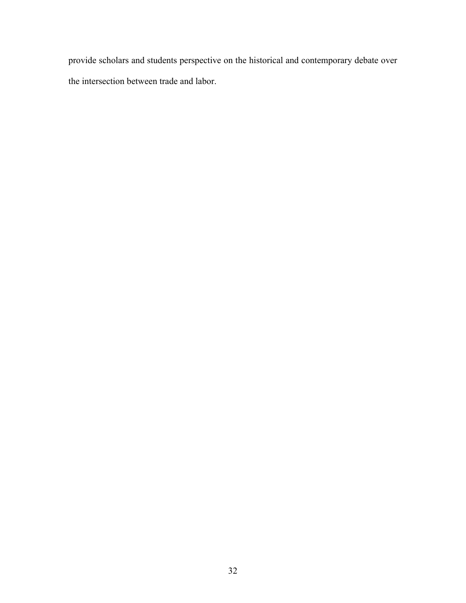provide scholars and students perspective on the historical and contemporary debate over the intersection between trade and labor.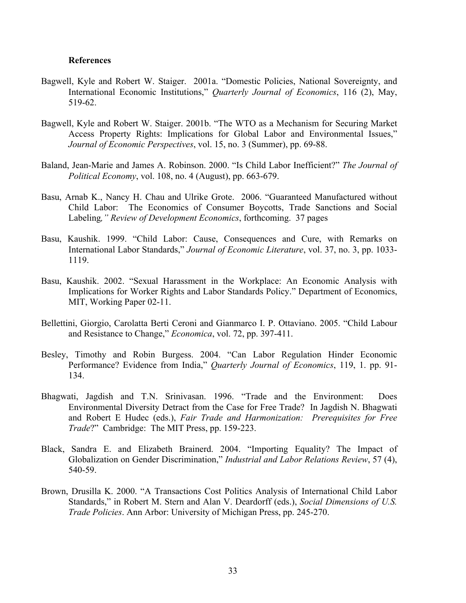# **References**

- Bagwell, Kyle and Robert W. Staiger. 2001a. "Domestic Policies, National Sovereignty, and International Economic Institutions," *Quarterly Journal of Economics*, 116 (2), May, 519-62.
- Bagwell, Kyle and Robert W. Staiger. 2001b. "The WTO as a Mechanism for Securing Market Access Property Rights: Implications for Global Labor and Environmental Issues," *Journal of Economic Perspectives*, vol. 15, no. 3 (Summer), pp. 69-88.
- Baland, Jean-Marie and James A. Robinson. 2000. "Is Child Labor Inefficient?" *The Journal of Political Economy*, vol. 108, no. 4 (August), pp. 663-679.
- Basu, Arnab K., Nancy H. Chau and Ulrike Grote. 2006. "Guaranteed Manufactured without Child Labor: The Economics of Consumer Boycotts, Trade Sanctions and Social Labeling*," Review of Development Economics*, forthcoming. 37 pages
- Basu, Kaushik. 1999. "Child Labor: Cause, Consequences and Cure, with Remarks on International Labor Standards," *Journal of Economic Literature*, vol. 37, no. 3, pp. 1033- 1119.
- Basu, Kaushik. 2002. "Sexual Harassment in the Workplace: An Economic Analysis with Implications for Worker Rights and Labor Standards Policy." Department of Economics, MIT, Working Paper 02-11.
- Bellettini, Giorgio, Carolatta Berti Ceroni and Gianmarco I. P. Ottaviano. 2005. "Child Labour and Resistance to Change," *Economica*, vol. 72, pp. 397-411.
- Besley, Timothy and Robin Burgess. 2004. "Can Labor Regulation Hinder Economic Performance? Evidence from India," *Quarterly Journal of Economics*, 119, 1. pp. 91- 134.
- Bhagwati, Jagdish and T.N. Srinivasan. 1996. "Trade and the Environment: Does Environmental Diversity Detract from the Case for Free Trade? In Jagdish N. Bhagwati and Robert E Hudec (eds.), *Fair Trade and Harmonization: Prerequisites for Free Trade*?" Cambridge: The MIT Press, pp. 159-223.
- Black, Sandra E. and Elizabeth Brainerd. 2004. "Importing Equality? The Impact of Globalization on Gender Discrimination," *Industrial and Labor Relations Review*, 57 (4), 540-59.
- Brown, Drusilla K. 2000. "A Transactions Cost Politics Analysis of International Child Labor Standards," in Robert M. Stern and Alan V. Deardorff (eds.), *Social Dimensions of U.S. Trade Policies*. Ann Arbor: University of Michigan Press, pp. 245-270.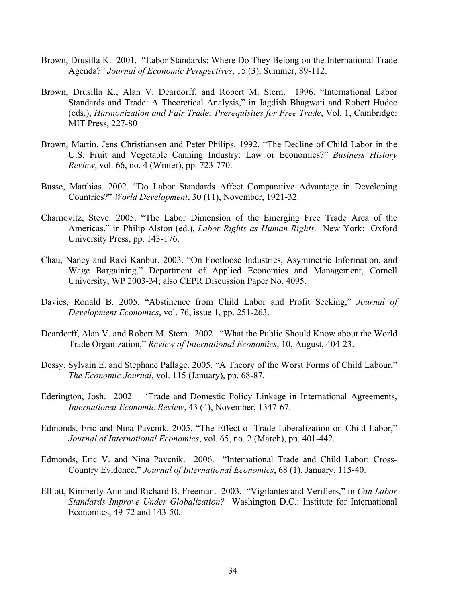- Brown, Drusilla K. 2001. "Labor Standards: Where Do They Belong on the International Trade Agenda?" *Journal of Economic Perspectives*, 15 (3), Summer, 89-112.
- Brown, Drusilla K., Alan V. Deardorff, and Robert M. Stern. 1996. "International Labor Standards and Trade: A Theoretical Analysis," in Jagdish Bhagwati and Robert Hudec (eds.), *Harmonization and Fair Trade: Prerequisites for Free Trade*, Vol. 1, Cambridge: MIT Press, 227-80
- Brown, Martin, Jens Christiansen and Peter Philips. 1992. "The Decline of Child Labor in the U.S. Fruit and Vegetable Canning Industry: Law or Economics?" *Business History Review*, vol. 66, no. 4 (Winter), pp. 723-770.
- Busse, Matthias. 2002. "Do Labor Standards Affect Comparative Advantage in Developing Countries?" *World Development*, 30 (11), November, 1921-32.
- Charnovitz, Steve. 2005. "The Labor Dimension of the Emerging Free Trade Area of the Americas," in Philip Alston (ed.), *Labor Rights as Human Rights.* New York: Oxford University Press, pp. 143-176.
- Chau, Nancy and Ravi Kanbur. 2003. "On Footloose Industries, Asymmetric Information, and Wage Bargaining." Department of Applied Economics and Management, Cornell University, WP 2003-34; also CEPR Discussion Paper No. 4095.
- Davies, Ronald B. 2005. "Abstinence from Child Labor and Profit Seeking," *Journal of Development Economics*, vol. 76, issue 1, pp. 251-263.
- Deardorff, Alan V. and Robert M. Stern. 2002. "What the Public Should Know about the World Trade Organization," *Review of International Economics*, 10, August, 404-23.
- Dessy, Sylvain E. and Stephane Pallage. 2005. "A Theory of the Worst Forms of Child Labour," *The Economic Journal*, vol. 115 (January), pp. 68-87.
- Ederington, Josh. 2002. 'Trade and Domestic Policy Linkage in International Agreements, *International Economic Review*, 43 (4), November, 1347-67.
- Edmonds, Eric and Nina Pavcnik. 2005. "The Effect of Trade Liberalization on Child Labor," *Journal of International Economics*, vol. 65, no. 2 (March), pp. 401-442.
- Edmonds, Eric V. and Nina Pavcnik. 2006. "International Trade and Child Labor: Cross-Country Evidence," *Journal of International Economics*, 68 (1), January, 115-40.
- Elliott, Kimberly Ann and Richard B. Freeman. 2003. "Vigilantes and Verifiers," in *Can Labor Standards Improve Under Globalization?* Washington D.C.: Institute for International Economics, 49-72 and 143-50.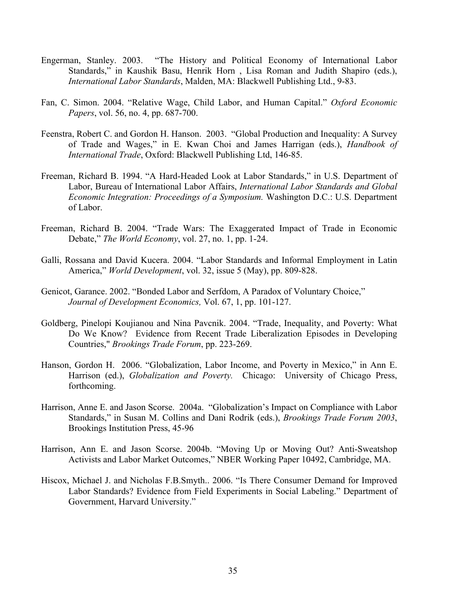- Engerman, Stanley. 2003. "The History and Political Economy of International Labor Standards," in Kaushik Basu, Henrik Horn , Lisa Roman and Judith Shapiro (eds.), *International Labor Standards*, Malden, MA: Blackwell Publishing Ltd., 9-83.
- Fan, C. Simon. 2004. "Relative Wage, Child Labor, and Human Capital." *Oxford Economic Papers*, vol. 56, no. 4, pp. 687-700.
- Feenstra, Robert C. and Gordon H. Hanson. 2003. "Global Production and Inequality: A Survey of Trade and Wages," in E. Kwan Choi and James Harrigan (eds.), *Handbook of International Trade*, Oxford: Blackwell Publishing Ltd, 146-85.
- Freeman, Richard B. 1994. "A Hard-Headed Look at Labor Standards," in U.S. Department of Labor, Bureau of International Labor Affairs, *International Labor Standards and Global Economic Integration: Proceedings of a Symposium.* Washington D.C.: U.S. Department of Labor.
- Freeman, Richard B. 2004. "Trade Wars: The Exaggerated Impact of Trade in Economic Debate," *The World Economy*, vol. 27, no. 1, pp. 1-24.
- Galli, Rossana and David Kucera. 2004. "Labor Standards and Informal Employment in Latin America," *World Development*, vol. 32, issue 5 (May), pp. 809-828.
- Genicot, Garance. 2002. "Bonded Labor and Serfdom, A Paradox of Voluntary Choice," *Journal of Development Economics,* Vol. 67, 1, pp. 101-127.
- Goldberg, Pinelopi Koujianou and Nina Pavcnik. 2004. "Trade, Inequality, and Poverty: What Do We Know? Evidence from Recent Trade Liberalization Episodes in Developing Countries," *Brookings Trade Forum*, pp. 223-269.
- Hanson, Gordon H. 2006. "Globalization, Labor Income, and Poverty in Mexico," in Ann E. Harrison (ed.), *Globalization and Poverty.* Chicago: University of Chicago Press, forthcoming.
- Harrison, Anne E. and Jason Scorse. 2004a. "Globalization's Impact on Compliance with Labor Standards," in Susan M. Collins and Dani Rodrik (eds.), *Brookings Trade Forum 2003*, Brookings Institution Press, 45-96
- Harrison, Ann E. and Jason Scorse. 2004b. "Moving Up or Moving Out? Anti-Sweatshop Activists and Labor Market Outcomes," NBER Working Paper 10492, Cambridge, MA.
- Hiscox, Michael J. and Nicholas F.B.Smyth.. 2006. "Is There Consumer Demand for Improved Labor Standards? Evidence from Field Experiments in Social Labeling." Department of Government, Harvard University."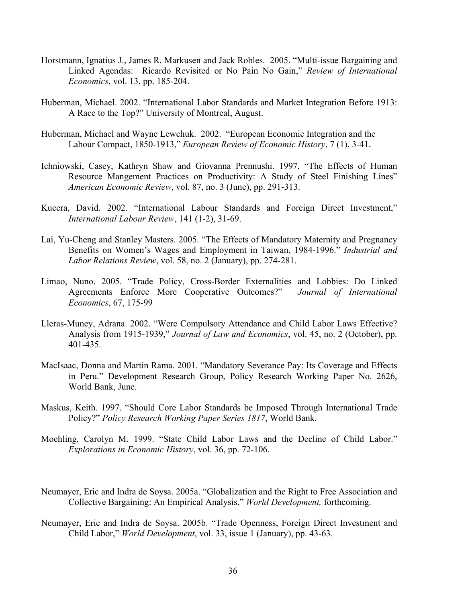- Horstmann, Ignatius J., James R. Markusen and Jack Robles. 2005. "Multi-issue Bargaining and Linked Agendas: Ricardo Revisited or No Pain No Gain," *Review of International Economics*, vol. 13, pp. 185-204.
- Huberman, Michael. 2002. "International Labor Standards and Market Integration Before 1913: A Race to the Top?" University of Montreal, August.
- Huberman, Michael and Wayne Lewchuk. 2002. "European Economic Integration and the Labour Compact, 1850-1913," *European Review of Economic History*, 7 (1), 3-41.
- Ichniowski, Casey, Kathryn Shaw and Giovanna Prennushi. 1997. "The Effects of Human Resource Mangement Practices on Productivity: A Study of Steel Finishing Lines" *American Economic Review*, vol. 87, no. 3 (June), pp. 291-313.
- Kucera, David. 2002. "International Labour Standards and Foreign Direct Investment," *International Labour Review*, 141 (1-2), 31-69.
- Lai, Yu-Cheng and Stanley Masters. 2005. "The Effects of Mandatory Maternity and Pregnancy Benefits on Women's Wages and Employment in Taiwan, 1984-1996." *Industrial and Labor Relations Review*, vol. 58, no. 2 (January), pp. 274-281.
- Limao, Nuno. 2005. "Trade Policy, Cross-Border Externalities and Lobbies: Do Linked Agreements Enforce More Cooperative Outcomes?" *Journal of International Economics*, 67, 175-99
- Lleras-Muney, Adrana. 2002. "Were Compulsory Attendance and Child Labor Laws Effective? Analysis from 1915-1939," *Journal of Law and Economics*, vol. 45, no. 2 (October), pp. 401-435.
- MacIsaac, Donna and Martin Rama. 2001. "Mandatory Severance Pay: Its Coverage and Effects in Peru." Development Research Group, Policy Research Working Paper No. 2626, World Bank, June.
- Maskus, Keith. 1997. "Should Core Labor Standards be Imposed Through International Trade Policy?" *Policy Research Working Paper Series 1817*, World Bank.
- Moehling, Carolyn M. 1999. "State Child Labor Laws and the Decline of Child Labor." *Explorations in Economic History*, vol. 36, pp. 72-106.
- Neumayer, Eric and Indra de Soysa. 2005a. "Globalization and the Right to Free Association and Collective Bargaining: An Empirical Analysis," *World Development,* forthcoming.
- Neumayer, Eric and Indra de Soysa. 2005b. "Trade Openness, Foreign Direct Investment and Child Labor," *World Development*, vol. 33, issue 1 (January), pp. 43-63.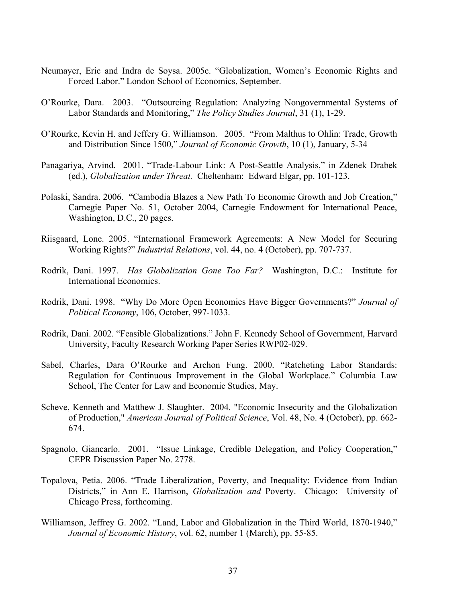- Neumayer, Eric and Indra de Soysa. 2005c. "Globalization, Women's Economic Rights and Forced Labor." London School of Economics, September.
- O'Rourke, Dara. 2003. "Outsourcing Regulation: Analyzing Nongovernmental Systems of Labor Standards and Monitoring," *The Policy Studies Journal*, 31 (1), 1-29.
- O'Rourke, Kevin H. and Jeffery G. Williamson. 2005. "From Malthus to Ohlin: Trade, Growth and Distribution Since 1500," *Journal of Economic Growth*, 10 (1), January, 5-34
- Panagariya, Arvind. 2001. "Trade-Labour Link: A Post-Seattle Analysis," in Zdenek Drabek (ed.), *Globalization under Threat.* Cheltenham: Edward Elgar, pp. 101-123.
- Polaski, Sandra. 2006. "Cambodia Blazes a New Path To Economic Growth and Job Creation," Carnegie Paper No. 51, October 2004, Carnegie Endowment for International Peace, Washington, D.C., 20 pages.
- Riisgaard, Lone. 2005. "International Framework Agreements: A New Model for Securing Working Rights?" *Industrial Relations*, vol. 44, no. 4 (October), pp. 707-737.
- Rodrik, Dani. 1997. *Has Globalization Gone Too Far?* Washington, D.C.: Institute for International Economics.
- Rodrik, Dani. 1998. "Why Do More Open Economies Have Bigger Governments?" *Journal of Political Economy*, 106, October, 997-1033.
- Rodrik, Dani. 2002. "Feasible Globalizations." John F. Kennedy School of Government, Harvard University, Faculty Research Working Paper Series RWP02-029.
- Sabel, Charles, Dara O'Rourke and Archon Fung. 2000. "Ratcheting Labor Standards: Regulation for Continuous Improvement in the Global Workplace." Columbia Law School, The Center for Law and Economic Studies, May.
- Scheve, Kenneth and Matthew J. Slaughter. 2004. "Economic Insecurity and the Globalization of Production," *American Journal of Political Science*, Vol. 48, No. 4 (October), pp. 662- 674.
- Spagnolo, Giancarlo. 2001. "Issue Linkage, Credible Delegation, and Policy Cooperation," CEPR Discussion Paper No. 2778.
- Topalova, Petia. 2006. "Trade Liberalization, Poverty, and Inequality: Evidence from Indian Districts," in Ann E. Harrison, *Globalization and* Poverty. Chicago: University of Chicago Press, forthcoming.
- Williamson, Jeffrey G. 2002. "Land, Labor and Globalization in the Third World, 1870-1940," *Journal of Economic History*, vol. 62, number 1 (March), pp. 55-85.